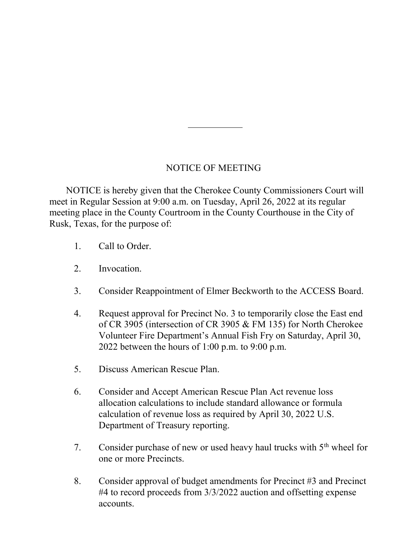## NOTICE OF MEETING

 NOTICE is hereby given that the Cherokee County Commissioners Court will meet in Regular Session at 9:00 a.m. on Tuesday, April 26, 2022 at its regular meeting place in the County Courtroom in the County Courthouse in the City of Rusk, Texas, for the purpose of:

- 1. Call to Order.
- 2. Invocation.
- 3. Consider Reappointment of Elmer Beckworth to the ACCESS Board.
- 4. Request approval for Precinct No. 3 to temporarily close the East end of CR 3905 (intersection of CR 3905 & FM 135) for North Cherokee Volunteer Fire Department's Annual Fish Fry on Saturday, April 30, 2022 between the hours of 1:00 p.m. to 9:00 p.m.
- 5. Discuss American Rescue Plan.
- 6. Consider and Accept American Rescue Plan Act revenue loss allocation calculations to include standard allowance or formula calculation of revenue loss as required by April 30, 2022 U.S. Department of Treasury reporting.
- 7. Consider purchase of new or used heavy haul trucks with  $5<sup>th</sup>$  wheel for one or more Precincts.
- 8. Consider approval of budget amendments for Precinct #3 and Precinct #4 to record proceeds from 3/3/2022 auction and offsetting expense accounts.